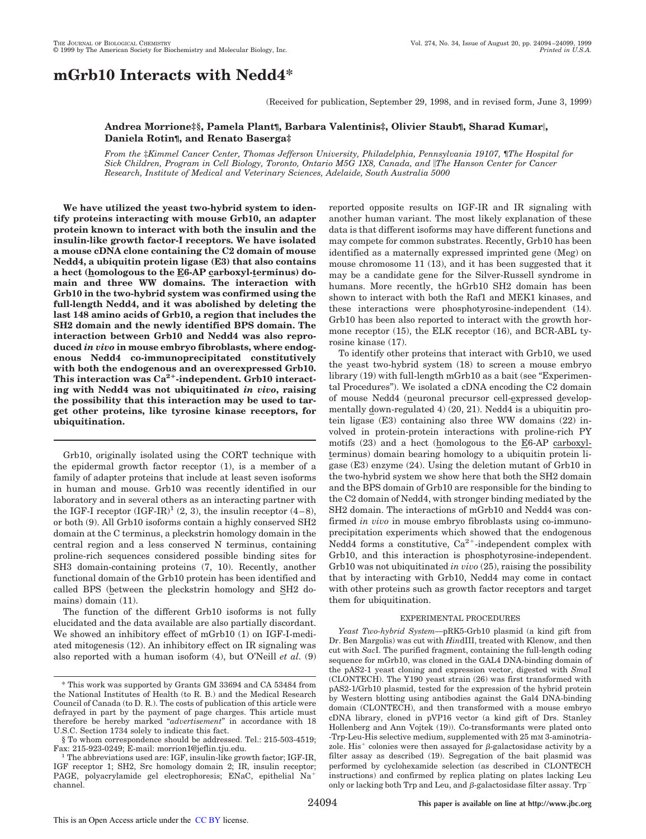# **mGrb10 Interacts with Nedd4\***

(Received for publication, September 29, 1998, and in revised form, June 3, 1999)

## **Andrea Morrione‡§, Pamela Plant¶, Barbara Valentinis‡, Olivier Staub¶, Sharad Kumar**i**, Daniela Rotin¶, and Renato Baserga‡**

*From the* ‡*Kimmel Cancer Center, Thomas Jefferson University, Philadelphia, Pennsylvania 19107,* ¶*The Hospital for Sick Children, Program in Cell Biology, Toronto, Ontario M5G 1X8, Canada, and* i*The Hanson Center for Cancer Research, Institute of Medical and Veterinary Sciences, Adelaide, South Australia 5000*

**We have utilized the yeast two-hybrid system to identify proteins interacting with mouse Grb10, an adapter protein known to interact with both the insulin and the insulin-like growth factor-I receptors. We have isolated a mouse cDNA clone containing the C2 domain of mouse Nedd4, a ubiquitin protein ligase (E3) that also contains a hect (homologous to the E6-AP carboxyl-terminus) domain and three WW domains. The interaction with Grb10 in the two-hybrid system was confirmed using the full-length Nedd4, and it was abolished by deleting the last 148 amino acids of Grb10, a region that includes the SH2 domain and the newly identified BPS domain. The interaction between Grb10 and Nedd4 was also reproduced** *in vivo* **in mouse embryo fibroblasts, where endogenous Nedd4 co-immunoprecipitated constitutively with both the endogenous and an overexpressed Grb10. This interaction was Ca2**1**-independent. Grb10 interacting with Nedd4 was not ubiquitinated** *in vivo***, raising the possibility that this interaction may be used to target other proteins, like tyrosine kinase receptors, for ubiquitination.**

Grb10, originally isolated using the CORT technique with the epidermal growth factor receptor (1), is a member of a family of adapter proteins that include at least seven isoforms in human and mouse. Grb10 was recently identified in our laboratory and in several others as an interacting partner with the IGF-I receptor  $(IGF-IR)^1$  (2, 3), the insulin receptor (4–8), or both (9). All Grb10 isoforms contain a highly conserved SH2 domain at the C terminus, a pleckstrin homology domain in the central region and a less conserved N terminus, containing proline-rich sequences considered possible binding sites for SH3 domain-containing proteins (7, 10). Recently, another functional domain of the Grb10 protein has been identified and called BPS (between the pleckstrin homology and SH2 domains) domain (11).

The function of the different Grb10 isoforms is not fully elucidated and the data available are also partially discordant. We showed an inhibitory effect of mGrb10 (1) on IGF-I-mediated mitogenesis (12). An inhibitory effect on IR signaling was also reported with a human isoform (4), but O'Neill *et al.* (9) reported opposite results on IGF-IR and IR signaling with another human variant. The most likely explanation of these data is that different isoforms may have different functions and may compete for common substrates. Recently, Grb10 has been identified as a maternally expressed imprinted gene (Meg) on mouse chromosome 11 (13), and it has been suggested that it may be a candidate gene for the Silver-Russell syndrome in humans. More recently, the hGrb10 SH2 domain has been shown to interact with both the Raf1 and MEK1 kinases, and these interactions were phosphotyrosine-independent (14). Grb10 has been also reported to interact with the growth hormone receptor (15), the ELK receptor (16), and BCR-ABL tyrosine kinase (17).

To identify other proteins that interact with Grb10, we used the yeast two-hybrid system (18) to screen a mouse embryo library (19) with full-length mGrb10 as a bait (see "Experimental Procedures"). We isolated a cDNA encoding the C2 domain of mouse Nedd4 (neuronal precursor cell-expressed developmentally down-regulated 4) (20, 21). Nedd4 is a ubiquitin protein ligase (E3) containing also three WW domains (22) involved in protein-protein interactions with proline-rich PY motifs  $(23)$  and a hect (homologous to the E6-AP carboxylterminus) domain bearing homology to a ubiquitin protein ligase (E3) enzyme (24). Using the deletion mutant of Grb10 in the two-hybrid system we show here that both the SH2 domain and the BPS domain of Grb10 are responsible for the binding to the C2 domain of Nedd4, with stronger binding mediated by the SH2 domain. The interactions of mGrb10 and Nedd4 was confirmed *in vivo* in mouse embryo fibroblasts using co-immunoprecipitation experiments which showed that the endogenous Nedd4 forms a constitutive,  $Ca^{2+}$ -independent complex with Grb10, and this interaction is phosphotyrosine-independent. Grb10 was not ubiquitinated *in vivo* (25), raising the possibility that by interacting with Grb10, Nedd4 may come in contact with other proteins such as growth factor receptors and target them for ubiquitination.

### EXPERIMENTAL PROCEDURES

*Yeast Two-hybrid System—*pRK5-Grb10 plasmid (a kind gift from Dr. Ben Margolis) was cut with *Hin*dIII, treated with Klenow, and then cut with *Sac*I. The purified fragment, containing the full-length coding sequence for mGrb10, was cloned in the GAL4 DNA-binding domain of the pAS2-1 yeast cloning and expression vector, digested with *Sma*I (CLONTECH). The Y190 yeast strain (26) was first transformed with pAS2-1/Grb10 plasmid, tested for the expression of the hybrid protein by Western blotting using antibodies against the Gal4 DNA-binding domain (CLONTECH), and then transformed with a mouse embryo cDNA library, cloned in pVP16 vector (a kind gift of Drs. Stanley Hollenberg and Ann Vojtek (19)). Co-transformants were plated onto -Trp-Leu-His selective medium, supplemented with 25 mM 3-aminotriazole. His<sup>+</sup> colonies were then assayed for  $\beta$ -galactosidase activity by a filter assay as described (19). Segregation of the bait plasmid was performed by cyclohexamide selection (as described in CLONTECH instructions) and confirmed by replica plating on plates lacking Leu only or lacking both Trp and Leu, and  $\beta$ -galactosidase filter assay. Trp<sup>-</sup>

<sup>\*</sup> This work was supported by Grants GM 33694 and CA 53484 from the National Institutes of Health (to R. B.) and the Medical Research Council of Canada (to D. R.). The costs of publication of this article were defrayed in part by the payment of page charges. This article must therefore be hereby marked "*advertisement*" in accordance with 18 U.S.C. Section 1734 solely to indicate this fact.

<sup>§</sup> To whom correspondence should be addressed. Tel.: 215-503-4519;

Fax: 215-923-0249; E-mail: morrion1@jeflin.tju.edu. <sup>1</sup> The abbreviations used are: IGF, insulin-like growth factor; IGF-IR, IGF receptor 1; SH2, Src homology domain 2; IR, insulin receptor; PAGE, polyacrylamide gel electrophoresis; ENaC, epithelial Na<sup>1</sup> channel.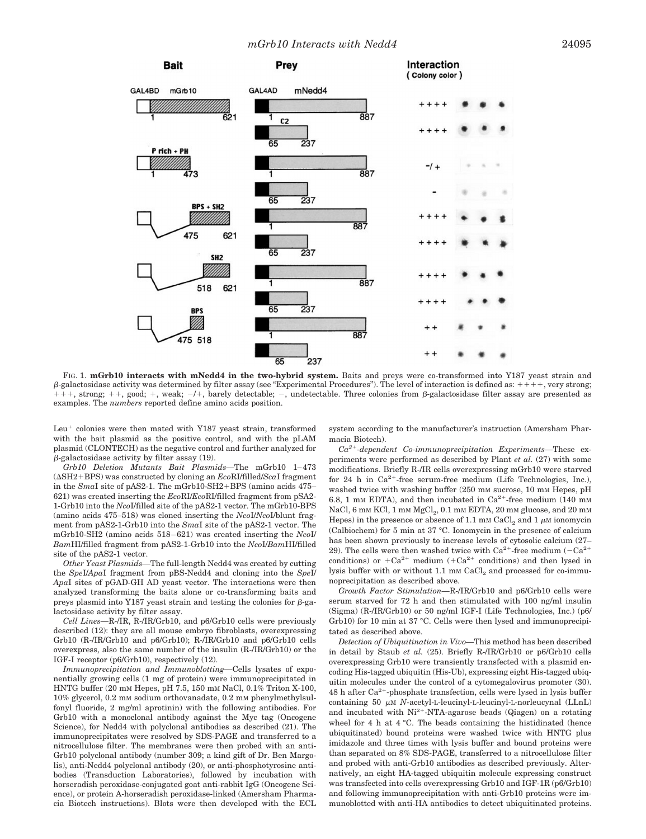

FIG. 1. **mGrb10 interacts with mNedd4 in the two-hybrid system.** Baits and preys were co-transformed into Y187 yeast strain and  $\beta$ -galactosidase activity was determined by filter assay (see "Experimental Procedures"). The level of interaction is defined as:  $+++$ , very strong;  $1++$ , strong;  $++$ , good;  $+$ , weak;  $-/-$ , barely detectable;  $-$ , undetectable. Three colonies from  $\beta$ -galactosidase filter assay are presented as examples. The *numbers* reported define amino acids position.

 $Leu<sup>+</sup>$  colonies were then mated with Y187 yeast strain, transformed with the bait plasmid as the positive control, and with the pLAM plasmid (CLONTECH) as the negative control and further analyzed for  $\beta$ -galactosidase activity by filter assay (19).

*Grb10 Deletion Mutants Bait Plasmids—*The mGrb10 1–473  $(\Delta SH2 + BPS)$  was constructed by cloning an  $EcoRI/filled/ScaI$  fragment in the *Smal* site of pAS2-1. The mGrb10-SH2+BPS (amino acids 475– 621) was created inserting the *Eco*RI/*Eco*RI/filled fragment from pSA2- 1-Grb10 into the *Nco*I/filled site of the pAS2-1 vector. The mGrb10-BPS (amino acids 475–518) was cloned inserting the *Nco*I/*Nco*I/blunt fragment from pAS2-1-Grb10 into the *Sma*I site of the pAS2-1 vector. The mGrb10-SH2 (amino acids 518–621) was created inserting the *Nco*I/ *Bam*HI/filled fragment from pAS2-1-Grb10 into the *Nco*I/*Bam*HI/filled site of the pAS2-1 vector.

*Other Yeast Plasmids—*The full-length Nedd4 was created by cutting the *Spe*I/*Apa*I fragment from pBS-Nedd4 and cloning into the *Spe*I/ *Apa*I sites of pGAD-GH AD yeast vector. The interactions were then analyzed transforming the baits alone or co-transforming baits and preys plasmid into Y187 yeast strain and testing the colonies for  $\beta$ -galactosidase activity by filter assay.

*Cell Lines—*R-/IR, R-/IR/Grb10, and p6/Grb10 cells were previously described (12): they are all mouse embryo fibroblasts, overexpressing Grb10 (R-/IR/Grb10 and p6/Grb10); R-/IR/Grb10 and p6/Grb10 cells overexpress, also the same number of the insulin (R-/IR/Grb10) or the IGF-I receptor (p6/Grb10), respectively (12).

*Immunoprecipitation and Immunoblotting—*Cells lysates of exponentially growing cells (1 mg of protein) were immunoprecipitated in HNTG buffer (20 mM Hepes, pH 7.5, 150 mM NaCl, 0.1% Triton X-100, 10% glycerol, 0.2 mM sodium orthovanadate, 0.2 mM phenylmethylsulfonyl fluoride, 2 mg/ml aprotinin) with the following antibodies. For Grb10 with a monoclonal antibody against the Myc tag (Oncogene Science), for Nedd4 with polyclonal antibodies as described (21). The immunoprecipitates were resolved by SDS-PAGE and transferred to a nitrocellulose filter. The membranes were then probed with an anti-Grb10 polyclonal antibody (number 309; a kind gift of Dr. Ben Margolis), anti-Nedd4 polyclonal antibody (20), or anti-phosphotyrosine antibodies (Transduction Laboratories), followed by incubation with horseradish peroxidase-conjugated goat anti-rabbit IgG (Oncogene Science), or protein A-horseradish peroxidase-linked (Amersham Pharmacia Biotech instructions). Blots were then developed with the ECL system according to the manufacturer's instruction (Amersham Pharmacia Biotech).

*Ca2*<sup>1</sup>*-dependent Co-immunoprecipitation Experiments—*These experiments were performed as described by Plant *et al.* (27) with some modifications. Briefly R-/IR cells overexpressing mGrb10 were starved for 24 h in  $Ca^{2+}$ -free serum-free medium (Life Technologies, Inc.), washed twice with washing buffer (250 mM sucrose, 10 mM Hepes, pH 6.8, 1 mm EDTA), and then incubated in  $Ca^{2+}$ -free medium (140 mm NaCl, 6 mM KCl, 1 mM  $MgCl<sub>2</sub>$ , 0.1 mM EDTA, 20 mM glucose, and 20 mM Hepes) in the presence or absence of 1.1 mm CaCl<sub>2</sub> and 1  $\mu$ M ionomycin (Calbiochem) for 5 min at 37 °C. Ionomycin in the presence of calcium has been shown previously to increase levels of cytosolic calcium (27– 29). The cells were then washed twice with  $Ca^{2+}$ -free medium  $(-Ca^{2+})$ conditions) or  $+Ca^{2+}$  medium  $(+Ca^{2+}$  conditions) and then lysed in lysis buffer with or without  $1.1 \text{ mm } \text{CaCl}_2$  and processed for co-immunoprecipitation as described above.

*Growth Factor Stimulation—*R-/IR/Grb10 and p6/Grb10 cells were serum starved for 72 h and then stimulated with 100 ng/ml insulin (Sigma) (R-/IR/Grb10) or 50 ng/ml IGF-I (Life Technologies, Inc.) (p6/ Grb10) for 10 min at 37 °C. Cells were then lysed and immunoprecipitated as described above.

*Detection of Ubiquitination in Vivo—*This method has been described in detail by Staub *et al.* (25). Briefly R-/IR/Grb10 or p6/Grb10 cells overexpressing Grb10 were transiently transfected with a plasmid encoding His-tagged ubiquitin (His-Ub), expressing eight His-tagged ubiquitin molecules under the control of a cytomegalovirus promoter (30). 48 h after Ca^2+-phosphate transfection, cells were lysed in lysis buffer containing 50  $\mu$ M *N*-acetyl-L-leucinyl-L-leucinyl-L-norleucynal (LLnL) and incubated with  $Ni<sup>2+</sup>-NTA-garose$  beads (Qiagen) on a rotating wheel for 4 h at 4 °C. The beads containing the histidinated (hence ubiquitinated) bound proteins were washed twice with HNTG plus imidazole and three times with lysis buffer and bound proteins were than separated on 8% SDS-PAGE, transferred to a nitrocellulose filter and probed with anti-Grb10 antibodies as described previously. Alternatively, an eight HA-tagged ubiquitin molecule expressing construct was transfected into cells overexpressing Grb10 and IGF-1R (p6/Grb10) and following immunoprecipitation with anti-Grb10 proteins were immunoblotted with anti-HA antibodies to detect ubiquitinated proteins.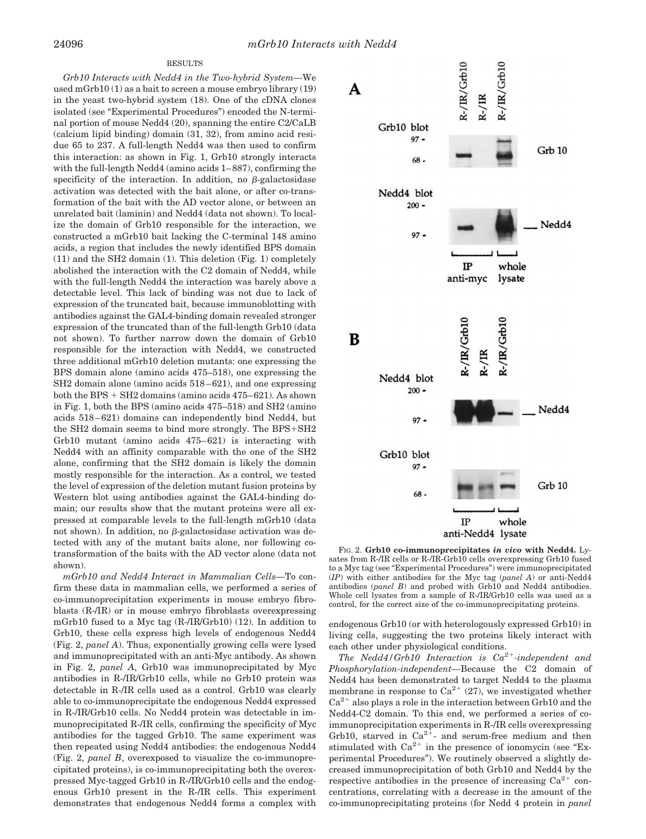### RESULTS

*Grb10 Interacts with Nedd4 in the Two-hybrid System—*We used mGrb10 (1) as a bait to screen a mouse embryo library (19) in the yeast two-hybrid system (18). One of the cDNA clones isolated (see "Experimental Procedures") encoded the N-terminal portion of mouse Nedd4 (20), spanning the entire C2/CaLB (calcium lipid binding) domain (31, 32), from amino acid residue 65 to 237. A full-length Nedd4 was then used to confirm this interaction: as shown in Fig. 1, Grb10 strongly interacts with the full-length Nedd4 (amino acids 1–887), confirming the specificity of the interaction. In addition, no  $\beta$ -galactosidase activation was detected with the bait alone, or after co-transformation of the bait with the AD vector alone, or between an unrelated bait (laminin) and Nedd4 (data not shown). To localize the domain of Grb10 responsible for the interaction, we constructed a mGrb10 bait lacking the C-terminal 148 amino acids, a region that includes the newly identified BPS domain (11) and the SH2 domain (1). This deletion (Fig. 1) completely abolished the interaction with the C2 domain of Nedd4, while with the full-length Nedd4 the interaction was barely above a detectable level. This lack of binding was not due to lack of expression of the truncated bait, because immunoblotting with antibodies against the GAL4-binding domain revealed stronger expression of the truncated than of the full-length Grb10 (data not shown). To further narrow down the domain of Grb10 responsible for the interaction with Nedd4, we constructed three additional mGrb10 deletion mutants: one expressing the BPS domain alone (amino acids 475–518), one expressing the SH2 domain alone (amino acids 518–621), and one expressing both the BPS  $+$  SH2 domains (amino acids 475–621). As shown in Fig. 1, both the BPS (amino acids 475–518) and SH2 (amino acids 518–621) domains can independently bind Nedd4, but the SH2 domain seems to bind more strongly. The BPS+SH2 Grb10 mutant (amino acids 475–621) is interacting with Nedd4 with an affinity comparable with the one of the SH2 alone, confirming that the SH2 domain is likely the domain mostly responsible for the interaction. As a control, we tested the level of expression of the deletion mutant fusion proteins by Western blot using antibodies against the GAL4-binding domain; our results show that the mutant proteins were all expressed at comparable levels to the full-length mGrb10 (data not shown). In addition, no  $\beta$ -galactosidase activation was detected with any of the mutant baits alone, nor following cotransformation of the baits with the AD vector alone (data not shown).

*mGrb10 and Nedd4 Interact in Mammalian Cells—*To confirm these data in mammalian cells, we performed a series of co-immunoprecipitation experiments in mouse embryo fibroblasts (R-/IR) or in mouse embryo fibroblasts overexpressing mGrb10 fused to a Myc tag (R-/IR/Grb10) (12). In addition to Grb10, these cells express high levels of endogenous Nedd4 (Fig. 2, *panel A*). Thus, exponentially growing cells were lysed and immunoprecipitated with an anti-Myc antibody. As shown in Fig. 2, *panel A*, Grb10 was immunoprecipitated by Myc antibodies in R-/IR/Grb10 cells, while no Grb10 protein was detectable in R-/IR cells used as a control. Grb10 was clearly able to co-immunoprecipitate the endogenous Nedd4 expressed in R-/IR/Grb10 cells. No Nedd4 protein was detectable in immunoprecipitated R-/IR cells, confirming the specificity of Myc antibodies for the tagged Grb10. The same experiment was then repeated using Nedd4 antibodies: the endogenous Nedd4 (Fig. 2, *panel B*, overexposed to visualize the co-immunoprecipitated proteins), is co-immunoprecipitating both the overexpressed Myc-tagged Grb10 in R-/IR/Grb10 cells and the endogenous Grb10 present in the R-/IR cells. This experiment demonstrates that endogenous Nedd4 forms a complex with



FIG. 2. **Grb10 co-immunoprecipitates** *in vivo* **with Nedd4.** Lysates from R-/IR cells or R-/IR-Grb10 cells overexpressing Grb10 fused to a Myc tag (see "Experimental Procedures") were immunoprecipitated (*IP*) with either antibodies for the Myc tag (*panel A*) or anti-Nedd4 antibodies (*panel B*) and probed with Grb10 and Nedd4 antibodies. Whole cell lysates from a sample of R-/IR/Grb10 cells was used as a control, for the correct size of the co-immunoprecipitating proteins.

endogenous Grb10 (or with heterologously expressed Grb10) in living cells, suggesting the two proteins likely interact with each other under physiological conditions.

*The Nedd4/Grb10 Interaction is Ca2*1*-independent and Phosphorylation-independent—*Because the C2 domain of Nedd4 has been demonstrated to target Nedd4 to the plasma membrane in response to  $Ca^{2+}$  (27), we investigated whether  $Ca^{2+}$  also plays a role in the interaction between Grb10 and the Nedd4-C2 domain. To this end, we performed a series of coimmunoprecipitation experiments in R-/IR cells overexpressing Grb10, starved in  $Ca^{2+}$ - and serum-free medium and then stimulated with  $Ca^{2+}$  in the presence of ionomycin (see "Experimental Procedures"). We routinely observed a slightly decreased immunoprecipitation of both Grb10 and Nedd4 by the respective antibodies in the presence of increasing  $Ca^{2+}$  concentrations, correlating with a decrease in the amount of the co-immunoprecipitating proteins (for Nedd 4 protein in *panel*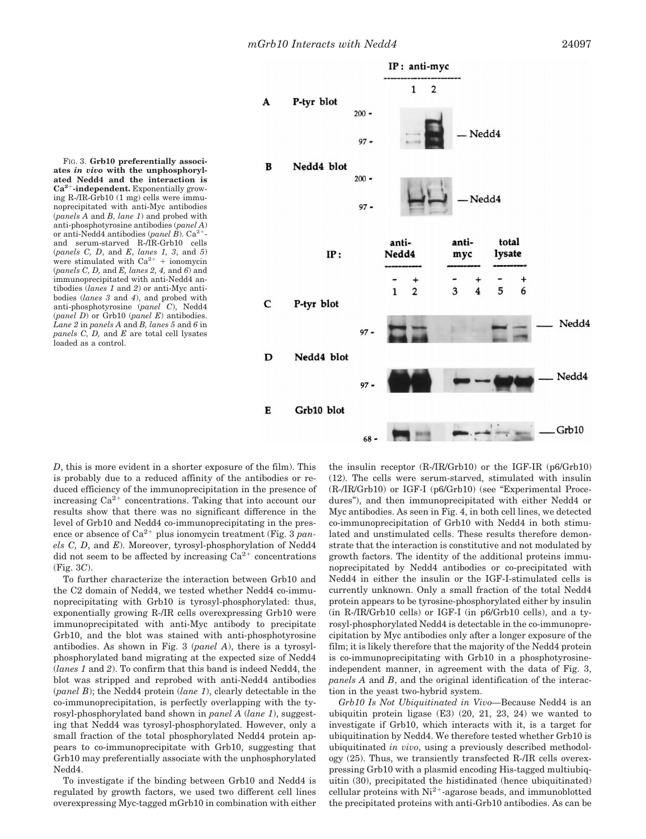



*D*, this is more evident in a shorter exposure of the film). This is probably due to a reduced affinity of the antibodies or reduced efficiency of the immunoprecipitation in the presence of increasing  $Ca^{2+}$  concentrations. Taking that into account our results show that there was no significant difference in the level of Grb10 and Nedd4 co-immunoprecipitating in the presence or absence of  $Ca^{2+}$  plus ionomycin treatment (Fig. 3 *panels C, D*, and *E*). Moreover, tyrosyl-phosphorylation of Nedd4 did not seem to be affected by increasing  $Ca^{2+}$  concentrations (Fig. 3*C*).

To further characterize the interaction between Grb10 and the C2 domain of Nedd4, we tested whether Nedd4 co-immunoprecipitating with Grb10 is tyrosyl-phosphorylated: thus, exponentially growing R-/IR cells overexpressing Grb10 were immunoprecipitated with anti-Myc antibody to precipitate Grb10, and the blot was stained with anti-phosphotyrosine antibodies. As shown in Fig. 3 (*panel A*), there is a tyrosylphosphorylated band migrating at the expected size of Nedd4 (*lanes 1* and *2*). To confirm that this band is indeed Nedd4, the blot was stripped and reprobed with anti-Nedd4 antibodies (*panel B*); the Nedd4 protein (*lane 1*), clearly detectable in the co-immunoprecipitation, is perfectly overlapping with the tyrosyl-phosphorylated band shown in *panel A* (*lane 1*), suggesting that Nedd4 was tyrosyl-phosphorylated. However, only a small fraction of the total phosphorylated Nedd4 protein appears to co-immunoprecipitate with Grb10, suggesting that Grb10 may preferentially associate with the unphosphorylated Nedd4.

To investigate if the binding between Grb10 and Nedd4 is regulated by growth factors, we used two different cell lines overexpressing Myc-tagged mGrb10 in combination with either the insulin receptor (R-/IR/Grb10) or the IGF-IR (p6/Grb10) (12). The cells were serum-starved, stimulated with insulin (R-/IR/Grb10) or IGF-I (p6/Grb10) (see "Experimental Procedures"), and then immunoprecipitated with either Nedd4 or Myc antibodies. As seen in Fig. 4, in both cell lines, we detected co-immunoprecipitation of Grb10 with Nedd4 in both stimulated and unstimulated cells. These results therefore demonstrate that the interaction is constitutive and not modulated by growth factors. The identity of the additional proteins immunoprecipitated by Nedd4 antibodies or co-precipitated with Nedd4 in either the insulin or the IGF-I-stimulated cells is currently unknown. Only a small fraction of the total Nedd4 protein appears to be tyrosine-phosphorylated either by insulin (in R-/IR/Grb10 cells) or IGF-I (in p6/Grb10 cells), and a tyrosyl-phosphorylated Nedd4 is detectable in the co-immunoprecipitation by Myc antibodies only after a longer exposure of the film; it is likely therefore that the majority of the Nedd4 protein is co-immunoprecipitating with Grb10 in a phosphotyrosineindependent manner, in agreement with the data of Fig. 3, *panels A* and *B*, and the original identification of the interaction in the yeast two-hybrid system.

*Grb10 Is Not Ubiquitinated in Vivo—*Because Nedd4 is an ubiquitin protein ligase  $(E3)$   $(20, 21, 23, 24)$  we wanted to investigate if Grb10, which interacts with it, is a target for ubiquitination by Nedd4. We therefore tested whether Grb10 is ubiquitinated *in vivo*, using a previously described methodology (25). Thus, we transiently transfected R-/IR cells overexpressing Grb10 with a plasmid encoding His-tagged multiubiquitin (30), precipitated the histidinated (hence ubiquitinated) cellular proteins with  $Ni<sup>2+</sup>$ -agarose beads, and immunoblotted the precipitated proteins with anti-Grb10 antibodies. As can be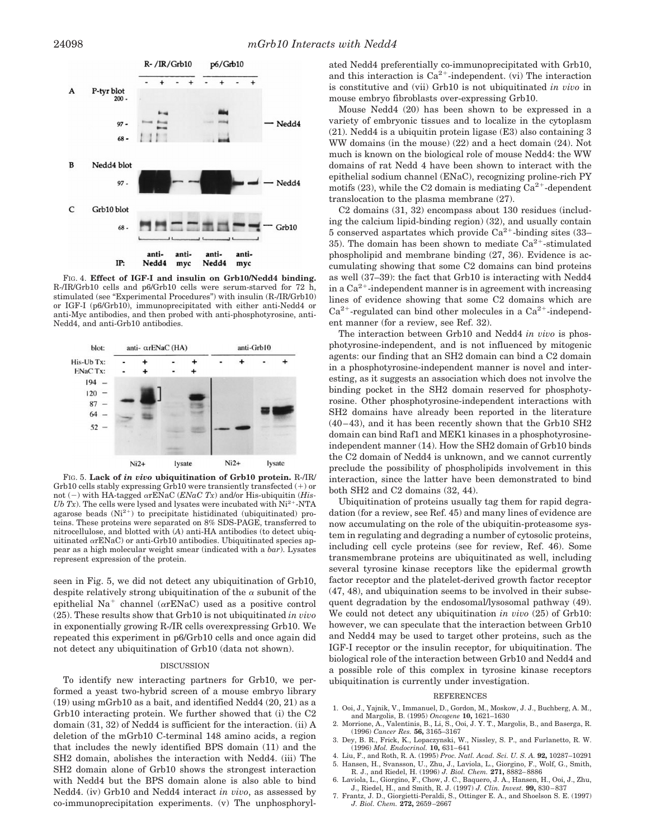

FIG. 4. **Effect of IGF-I and insulin on Grb10/Nedd4 binding.** R-/IR/Grb10 cells and p6/Grb10 cells were serum-starved for 72 h, stimulated (see "Experimental Procedures") with insulin (R-/IR/Grb10) or IGF-I (p6/Grb10), immunoprecipitated with either anti-Nedd4 or anti-Myc antibodies, and then probed with anti-phosphotyrosine, anti-Nedd4, and anti-Grb10 antibodies.



FIG. 5. **Lack of** *in vivo* **ubiquitination of Grb10 protein.** R-/IR/ Grb10 cells stably expressing Grb10 were transiently transfected  $(+)$  or not (2) with HA-tagged <sup>a</sup>rENaC (*ENaC Tx*) and/or His-ubiquitin (*His-Ub Tx*). The cells were lysed and lysates were incubated with  $Ni<sup>2+</sup>$ -NTA agarose beads  $(Ni^{2+})$  to precipitate histidinated (ubiquitinated) proteins. These proteins were separated on 8% SDS-PAGE, transferred to nitrocellulose, and blotted with (*A*) anti-HA antibodies (to detect ubiquitinated <sup>a</sup>rENaC) or anti-Grb10 antibodies. Ubiquitinated species appear as a high molecular weight smear (indicated with a *bar*). Lysates represent expression of the protein.

seen in Fig. 5, we did not detect any ubiquitination of Grb10, despite relatively strong ubiquitination of the  $\alpha$  subunit of the epithelial  $Na^+$  channel ( $\alpha$ rENaC) used as a positive control (25). These results show that Grb10 is not ubiquitinated *in vivo* in exponentially growing R-/IR cells overexpressing Grb10. We repeated this experiment in p6/Grb10 cells and once again did not detect any ubiquitination of Grb10 (data not shown).

#### DISCUSSION

To identify new interacting partners for Grb10, we performed a yeast two-hybrid screen of a mouse embryo library (19) using mGrb10 as a bait, and identified Nedd4 (20, 21) as a Grb10 interacting protein. We further showed that (i) the C2 domain (31, 32) of Nedd4 is sufficient for the interaction. (ii) A deletion of the mGrb10 C-terminal 148 amino acids, a region that includes the newly identified BPS domain (11) and the SH2 domain, abolishes the interaction with Nedd4. (iii) The SH2 domain alone of Grb10 shows the strongest interaction with Nedd4 but the BPS domain alone is also able to bind Nedd4. (iv) Grb10 and Nedd4 interact *in vivo*, as assessed by co-immunoprecipitation experiments. (v) The unphosphorylated Nedd4 preferentially co-immunoprecipitated with Grb10, and this interaction is  $Ca^{2+}$ -independent. (vi) The interaction is constitutive and (vii) Grb10 is not ubiquitinated *in vivo* in mouse embryo fibroblasts over-expressing Grb10.

Mouse Nedd4 (20) has been shown to be expressed in a variety of embryonic tissues and to localize in the cytoplasm (21). Nedd4 is a ubiquitin protein ligase (E3) also containing 3 WW domains (in the mouse) (22) and a hect domain (24). Not much is known on the biological role of mouse Nedd4: the WW domains of rat Nedd 4 have been shown to interact with the epithelial sodium channel (ENaC), recognizing proline-rich PY motifs (23), while the C2 domain is mediating  $Ca^{2+}$ -dependent translocation to the plasma membrane (27).

C2 domains (31, 32) encompass about 130 residues (including the calcium lipid-binding region) (32), and usually contain 5 conserved aspartates which provide  $Ca^{2+}$ -binding sites (33– 35). The domain has been shown to mediate  $Ca^{2+}$ -stimulated phospholipid and membrane binding (27, 36). Evidence is accumulating showing that some C2 domains can bind proteins as well (37–39): the fact that Grb10 is interacting with Nedd4 in a  $Ca^{2+}$ -independent manner is in agreement with increasing lines of evidence showing that some C2 domains which are  $Ca<sup>2+</sup>$ -regulated can bind other molecules in a  $Ca<sup>2+</sup>$ -independent manner (for a review, see Ref. 32).

The interaction between Grb10 and Nedd4 *in vivo* is phosphotyrosine-independent, and is not influenced by mitogenic agents: our finding that an SH2 domain can bind a C2 domain in a phosphotyrosine-independent manner is novel and interesting, as it suggests an association which does not involve the binding pocket in the SH2 domain reserved for phosphotyrosine. Other phosphotyrosine-independent interactions with SH2 domains have already been reported in the literature (40–43), and it has been recently shown that the Grb10 SH2 domain can bind Raf1 and MEK1 kinases in a phosphotyrosineindependent manner (14). How the SH2 domain of Grb10 binds the C2 domain of Nedd4 is unknown, and we cannot currently preclude the possibility of phospholipids involvement in this interaction, since the latter have been demonstrated to bind both SH2 and C2 domains (32, 44).

Ubiquitination of proteins usually tag them for rapid degradation (for a review, see Ref. 45) and many lines of evidence are now accumulating on the role of the ubiquitin-proteasome system in regulating and degrading a number of cytosolic proteins, including cell cycle proteins (see for review, Ref. 46). Some transmembrane proteins are ubiquitinated as well, including several tyrosine kinase receptors like the epidermal growth factor receptor and the platelet-derived growth factor receptor (47, 48), and ubiquination seems to be involved in their subsequent degradation by the endosomal/lysosomal pathway (49). We could not detect any ubiquitination *in vivo* (25) of Grb10: however, we can speculate that the interaction between Grb10 and Nedd4 may be used to target other proteins, such as the IGF-I receptor or the insulin receptor, for ubiquitination. The biological role of the interaction between Grb10 and Nedd4 and a possible role of this complex in tyrosine kinase receptors ubiquitination is currently under investigation.

#### REFERENCES

- 1. Ooi, J., Yajnik, V., Immanuel, D., Gordon, M., Moskow, J. J., Buchberg, A. M., and Margolis, B. (1995) *Oncogene* **10,** 1621–1630
- 2. Morrione, A., Valentinis, B., Li, S., Ooi, J. Y. T., Margolis, B., and Baserga, R. (1996) *Cancer Res.* **56,** 3165–3167
- 3. Dey, B. R., Frick, K., Lopaczynski, W., Nissley, S. P., and Furlanetto, R. W. (1996) *Mol. Endocrinol.* **10,** 631–641
- 4. Liu, F., and Roth, R. A. (1995) *Proc. Natl. Acad. Sci. U. S. A.* **92,** 10287–10291 5. Hansen, H., Svansson, U., Zhu, J., Laviola, L., Giorgino, F., Wolf, G., Smith,
- R. J., and Riedel, H. (1996) *J. Biol. Chem.* **271,** 8882–8886 6. Laviola, L., Giorgino, F., Chow, J. C., Baquero, J. A., Hansen, H., Ooi, J., Zhu,
- J., Riedel, H., and Smith, R. J. (1997) *J. Clin. Invest.* **99,** 830–837
- 7. Frantz, J. D., Giorgietti-Peraldi, S., Ottinger E. A., and Shoelson S. E. (1997) *J. Biol. Chem.* **272,** 2659–2667